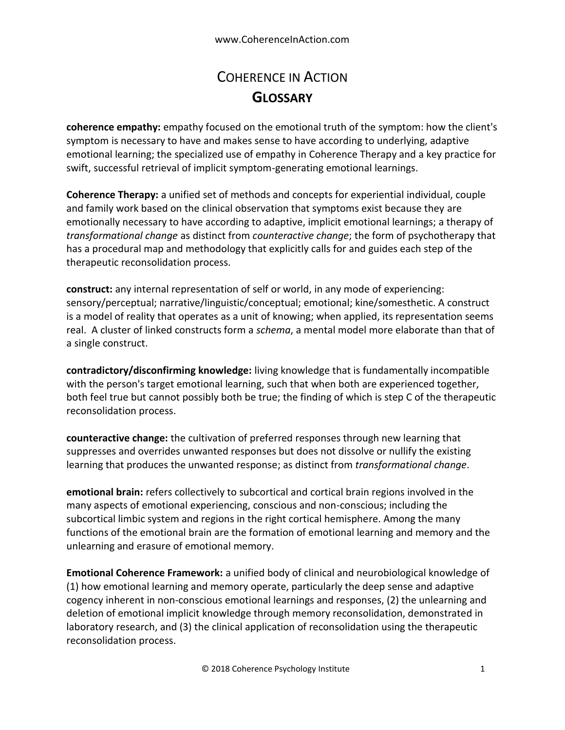## COHERENCE IN ACTION **GLOSSARY**

**coherence empathy:** empathy focused on the emotional truth of the symptom: how the client's symptom is necessary to have and makes sense to have according to underlying, adaptive emotional learning; the specialized use of empathy in Coherence Therapy and a key practice for swift, successful retrieval of implicit symptom-generating emotional learnings.

**Coherence Therapy:** a unified set of methods and concepts for experiential individual, couple and family work based on the clinical observation that symptoms exist because they are emotionally necessary to have according to adaptive, implicit emotional learnings; a therapy of *transformational change* as distinct from *counteractive change*; the form of psychotherapy that has a procedural map and methodology that explicitly calls for and guides each step of the therapeutic reconsolidation process.

**construct:** any internal representation of self or world, in any mode of experiencing: sensory/perceptual; narrative/linguistic/conceptual; emotional; kine/somesthetic. A construct is a model of reality that operates as a unit of knowing; when applied, its representation seems real. A cluster of linked constructs form a *schema*, a mental model more elaborate than that of a single construct.

**contradictory/disconfirming knowledge:** living knowledge that is fundamentally incompatible with the person's target emotional learning, such that when both are experienced together, both feel true but cannot possibly both be true; the finding of which is step C of the therapeutic reconsolidation process.

**counteractive change:** the cultivation of preferred responses through new learning that suppresses and overrides unwanted responses but does not dissolve or nullify the existing learning that produces the unwanted response; as distinct from *transformational change*.

**emotional brain:** refers collectively to subcortical and cortical brain regions involved in the many aspects of emotional experiencing, conscious and non-conscious; including the subcortical limbic system and regions in the right cortical hemisphere. Among the many functions of the emotional brain are the formation of emotional learning and memory and the unlearning and erasure of emotional memory.

**Emotional Coherence Framework:** a unified body of clinical and neurobiological knowledge of (1) how emotional learning and memory operate, particularly the deep sense and adaptive cogency inherent in non-conscious emotional learnings and responses, (2) the unlearning and deletion of emotional implicit knowledge through memory reconsolidation, demonstrated in laboratory research, and (3) the clinical application of reconsolidation using the therapeutic reconsolidation process.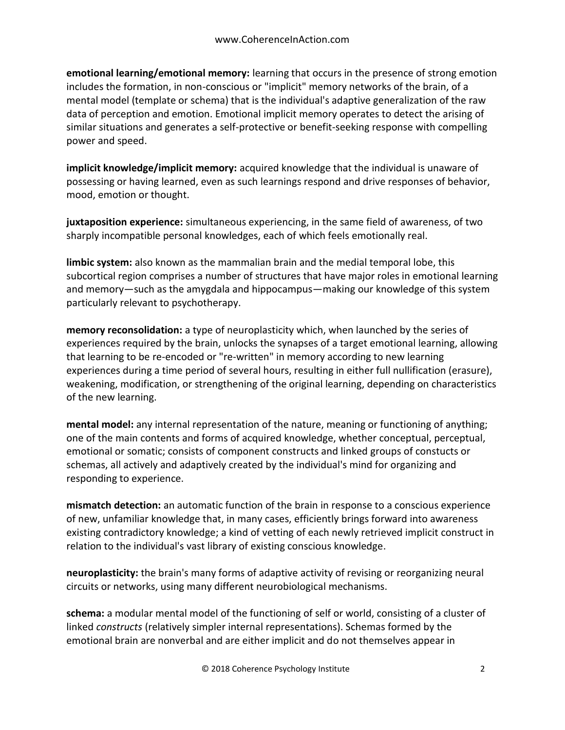**emotional learning/emotional memory:** learning that occurs in the presence of strong emotion includes the formation, in non-conscious or "implicit" memory networks of the brain, of a mental model (template or schema) that is the individual's adaptive generalization of the raw data of perception and emotion. Emotional implicit memory operates to detect the arising of similar situations and generates a self-protective or benefit-seeking response with compelling power and speed.

**implicit knowledge/implicit memory:** acquired knowledge that the individual is unaware of possessing or having learned, even as such learnings respond and drive responses of behavior, mood, emotion or thought.

**juxtaposition experience:** simultaneous experiencing, in the same field of awareness, of two sharply incompatible personal knowledges, each of which feels emotionally real.

**limbic system:** also known as the mammalian brain and the medial temporal lobe, this subcortical region comprises a number of structures that have major roles in emotional learning and memory—such as the amygdala and hippocampus—making our knowledge of this system particularly relevant to psychotherapy.

**memory reconsolidation:** a type of neuroplasticity which, when launched by the series of experiences required by the brain, unlocks the synapses of a target emotional learning, allowing that learning to be re-encoded or "re-written" in memory according to new learning experiences during a time period of several hours, resulting in either full nullification (erasure), weakening, modification, or strengthening of the original learning, depending on characteristics of the new learning.

**mental model:** any internal representation of the nature, meaning or functioning of anything; one of the main contents and forms of acquired knowledge, whether conceptual, perceptual, emotional or somatic; consists of component constructs and linked groups of constucts or schemas, all actively and adaptively created by the individual's mind for organizing and responding to experience.

**mismatch detection:** an automatic function of the brain in response to a conscious experience of new, unfamiliar knowledge that, in many cases, efficiently brings forward into awareness existing contradictory knowledge; a kind of vetting of each newly retrieved implicit construct in relation to the individual's vast library of existing conscious knowledge.

**neuroplasticity:** the brain's many forms of adaptive activity of revising or reorganizing neural circuits or networks, using many different neurobiological mechanisms.

**schema:** a modular mental model of the functioning of self or world, consisting of a cluster of linked *constructs* (relatively simpler internal representations). Schemas formed by the emotional brain are nonverbal and are either implicit and do not themselves appear in